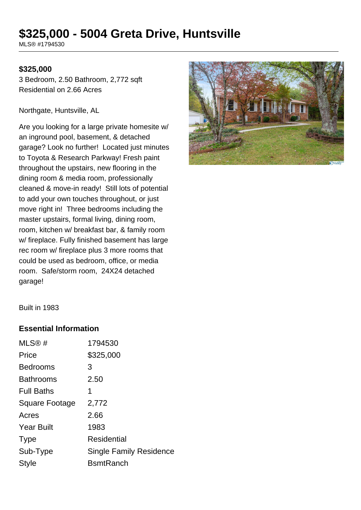# **\$325,000 - 5004 Greta Drive, Huntsville**

MLS® #1794530

#### **\$325,000**

3 Bedroom, 2.50 Bathroom, 2,772 sqft Residential on 2.66 Acres

Northgate, Huntsville, AL

Are you looking for a large private homesite w/ an inground pool, basement, & detached garage? Look no further! Located just minutes to Toyota & Research Parkway! Fresh paint throughout the upstairs, new flooring in the dining room & media room, professionally cleaned & move-in ready! Still lots of potential to add your own touches throughout, or just move right in! Three bedrooms including the master upstairs, formal living, dining room, room, kitchen w/ breakfast bar, & family room w/ fireplace. Fully finished basement has large rec room w/ fireplace plus 3 more rooms that could be used as bedroom, office, or media room. Safe/storm room, 24X24 detached garage!



Built in 1983

#### **Essential Information**

| MLS@#             | 1794530                        |
|-------------------|--------------------------------|
| Price             | \$325,000                      |
| <b>Bedrooms</b>   | 3                              |
| <b>Bathrooms</b>  | 2.50                           |
| <b>Full Baths</b> | 1                              |
| Square Footage    | 2,772                          |
| Acres             | 2.66                           |
| <b>Year Built</b> | 1983                           |
| <b>Type</b>       | <b>Residential</b>             |
| Sub-Type          | <b>Single Family Residence</b> |
| Style             | <b>B</b> smtRanch              |